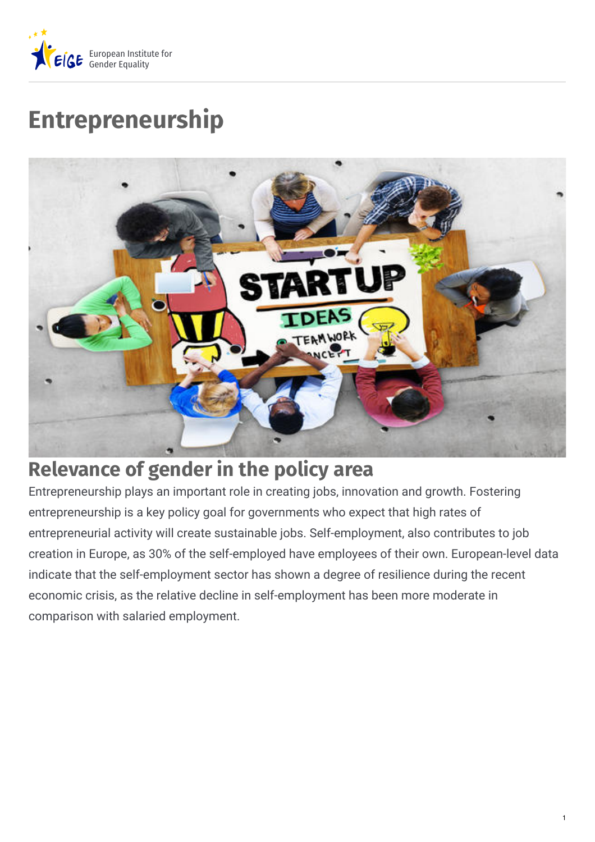

# **Entrepreneurship**



# **Relevance of gender in the policy area**

Entrepreneurship plays an important role in creating jobs, innovation and growth. Fostering entrepreneurship is a key policy goal for governments who expect that high rates of entrepreneurial activity will create sustainable jobs. Self-employment, also contributes to job creation in Europe, as 30% of the self-employed have employees of their own. European-level data indicate that the self-employment sector has shown a degree of resilience during the recent economic crisis, as the relative decline in self-employment has been more moderate in comparison with salaried employment.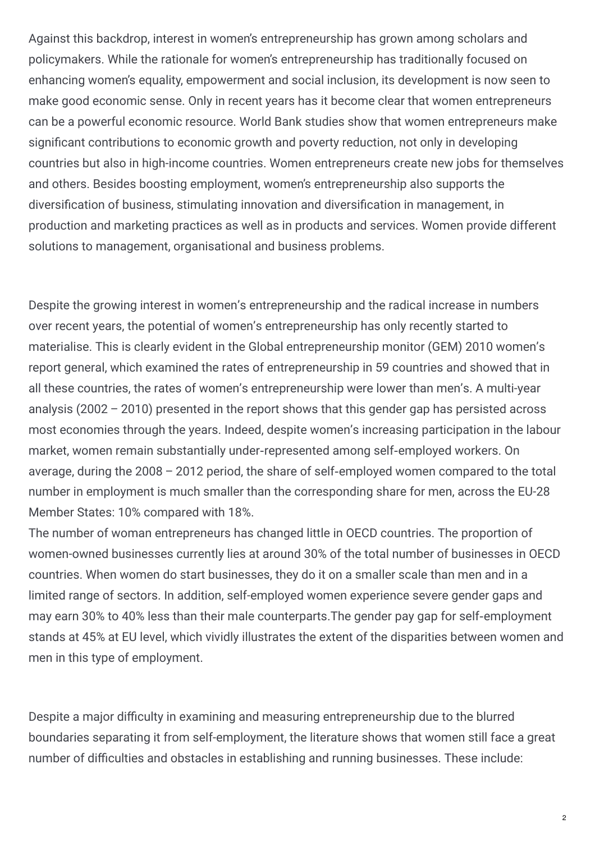Against this backdrop, interest in women's entrepreneurship has grown among scholars and policymakers. While the rationale for women's entrepreneurship has traditionally focused on enhancing women's equality, empowerment and social inclusion, its development is now seen to make good economic sense. Only in recent years has it become clear that women entrepreneurs can be a powerful economic resource. World Bank studies show that women entrepreneurs make significant contributions to economic growth and poverty reduction, not only in developing countries but also in high-income countries. Women entrepreneurs create new jobs for themselves and others. Besides boosting employment, women's entrepreneurship also supports the diversification of business, stimulating innovation and diversification in management, in production and marketing practices as well as in products and services. Women provide different solutions to management, organisational and business problems.

Despite the growing interest in women's entrepreneurship and the radical increase in numbers over recent years, the potential of women's entrepreneurship has only recently started to materialise. This is clearly evident in the Global entrepreneurship monitor (GEM) 2010 women's report general, which examined the rates of entrepreneurship in 59 countries and showed that in all these countries, the rates of women's entrepreneurship were lower than men's. A multi-year analysis (2002 – 2010) presented in the report shows that this gender gap has persisted across most economies through the years. Indeed, despite women's increasing participation in the labour market, women remain substantially under-represented among self-employed workers. On average, during the 2008 – 2012 period, the share of self-employed women compared to the total number in employment is much smaller than the corresponding share for men, across the EU-28 Member States: 10% compared with 18%.

The number of woman entrepreneurs has changed little in OECD countries. The proportion of women-owned businesses currently lies at around 30% of the total number of businesses in OECD countries. When women do start businesses, they do it on a smaller scale than men and in a limited range of sectors. In addition, self-employed women experience severe gender gaps and may earn 30% to 40% less than their male counterparts. The gender pay gap for self-employment stands at 45% at EU level, which vividly illustrates the extent of the disparities between women and men in this type of employment.

Despite a major difficulty in examining and measuring entrepreneurship due to the blurred boundaries separating it from self-employment, the literature shows that women still face a great number of difficulties and obstacles in establishing and running businesses. These include: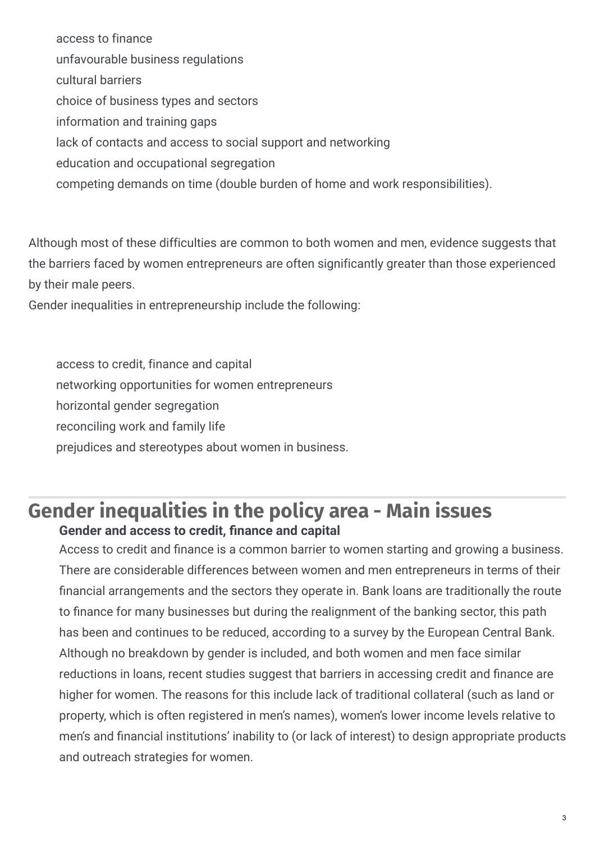access to finance unfavourable business regulations cultural barriers choice of business types and sectors information and training gaps lack of contacts and access to social support and networking education and occupational segregation competing demands on time (double burden of home and work responsibilities).

Although most of these difficulties are common to both women and men, evidence suggests that the barriers faced by women entrepreneurs are often significantly greater than those experienced by their male peers.

Gender inequalities in entrepreneurship include the following:

access to credit, finance and capital

networking opportunities for women entrepreneurs

horizontal gender segregation

reconciling work and family life

prejudices and stereotypes about women in business.

# **Gender inequalities in the policy area - Main issues Gender and access to credit, nance and capital**

Access to credit and finance is a common barrier to women starting and growing a business. There are considerable differences between women and men entrepreneurs in terms of their financial arrangements and the sectors they operate in. Bank loans are traditionally the route to finance for many businesses but during the realignment of the banking sector, this path has been and continues to be reduced, according to a survey by the European Central Bank. Although no breakdown by gender is included, and both women and men face similar reductions in loans, recent studies suggest that barriers in accessing credit and finance are higher for women. The reasons for this include lack of traditional collateral (such as land or property, which is often registered in men's names), women's lower income levels relative to men's and financial institutions' inability to (or lack of interest) to design appropriate products and outreach strategies for women.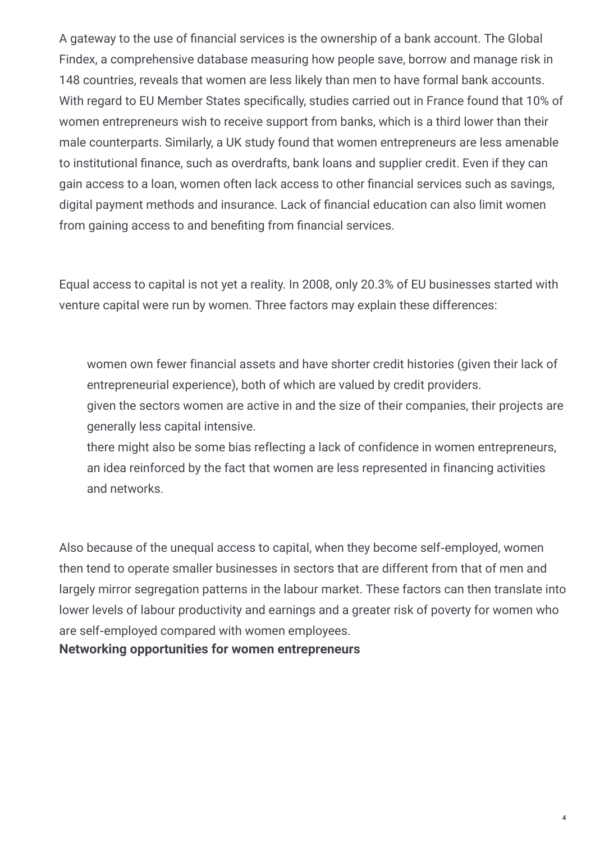A gateway to the use of financial services is the ownership of a bank account. The Global Findex, a comprehensive database measuring how people save, borrow and manage risk in 148 countries, reveals that women are less likely than men to have formal bank accounts. With regard to EU Member States specifically, studies carried out in France found that 10% of women entrepreneurs wish to receive support from banks, which is a third lower than their male counterparts. Similarly, a UK study found that women entrepreneurs are less amenable to institutional finance, such as overdrafts, bank loans and supplier credit. Even if they can gain access to a loan, women often lack access to other financial services such as savings, digital payment methods and insurance. Lack of financial education can also limit women from gaining access to and benefiting from financial services.

Equal access to capital is not yet a reality. In 2008, only 20.3% of EU businesses started with venture capital were run by women. Three factors may explain these differences:

women own fewer financial assets and have shorter credit histories (given their lack of entrepreneurial experience), both of which are valued by credit providers.

given the sectors women are active in and the size of their companies, their projects are generally less capital intensive.

there might also be some bias reflecting a lack of confidence in women entrepreneurs, an idea reinforced by the fact that women are less represented in financing activities and networks.

Also because of the unequal access to capital, when they become self-employed, women then tend to operate smaller businesses in sectors that are different from that of men and largely mirror segregation patterns in the labour market. These factors can then translate into lower levels of labour productivity and earnings and a greater risk of poverty for women who are self‑employed compared with women employees.

**Networking opportunities for women entrepreneurs**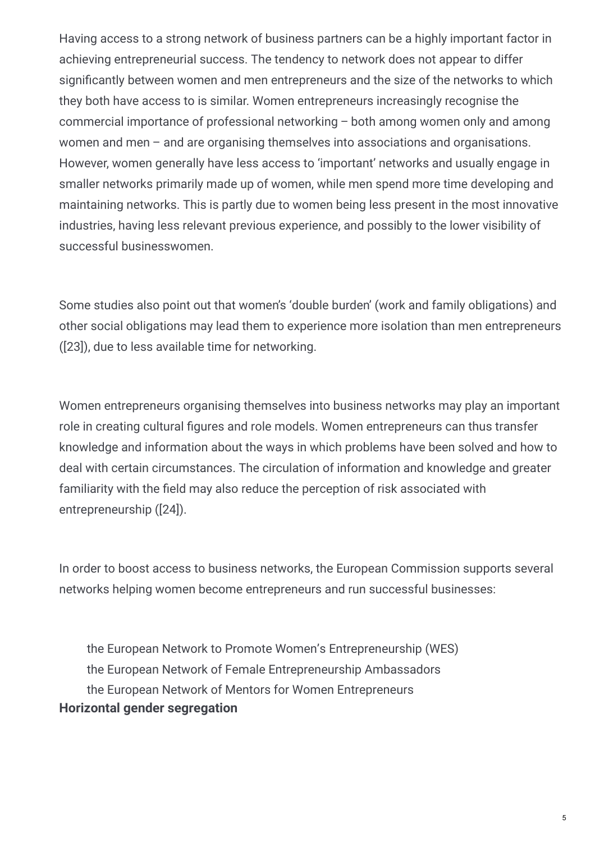Having access to a strong network of business partners can be a highly important factor in achieving entrepreneurial success. The tendency to network does not appear to differ significantly between women and men entrepreneurs and the size of the networks to which they both have access to is similar. Women entrepreneurs increasingly recognise the commercial importance of professional networking – both among women only and among women and men – and are organising themselves into associations and organisations. However, women generally have less access to 'important' networks and usually engage in smaller networks primarily made up of women, while men spend more time developing and maintaining networks. This is partly due to women being less present in the most innovative industries, having less relevant previous experience, and possibly to the lower visibility of successful businesswomen.

Some studies also point out that women's 'double burden' (work and family obligations) and other social obligations may lead them to experience more isolation than men entrepreneurs ([23]), due to less available time for networking.

Women entrepreneurs organising themselves into business networks may play an important role in creating cultural figures and role models. Women entrepreneurs can thus transfer knowledge and information about the ways in which problems have been solved and how to deal with certain circumstances. The circulation of information and knowledge and greater familiarity with the field may also reduce the perception of risk associated with entrepreneurship ([24]).

In order to boost access to business networks, the European Commission supports several networks helping women become entrepreneurs and run successful businesses:

the European Network to Promote Women's Entrepreneurship (WES) the European Network of Female Entrepreneurship Ambassadors the European Network of Mentors for Women Entrepreneurs **Horizontal gender segregation**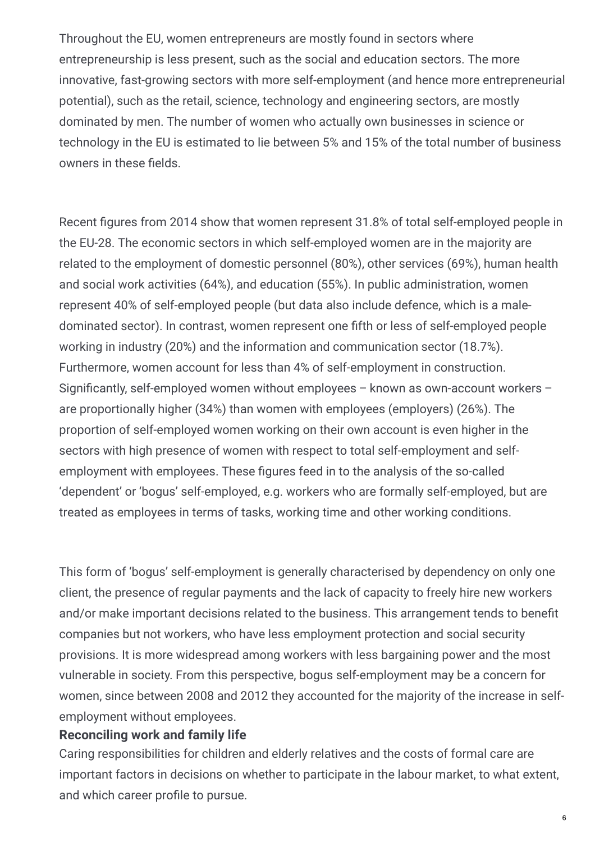Throughout the EU, women entrepreneurs are mostly found in sectors where entrepreneurship is less present, such as the social and education sectors. The more innovative, fast-growing sectors with more self-employment (and hence more entrepreneurial potential), such as the retail, science, technology and engineering sectors, are mostly dominated by men. The number of women who actually own businesses in science or technology in the EU is estimated to lie between 5% and 15% of the total number of business owners in these fields.

Recent figures from 2014 show that women represent 31.8% of total self-employed people in the EU-28. The economic sectors in which self-employed women are in the majority are related to the employment of domestic personnel (80%), other services (69%), human health and social work activities (64%), and education (55%). In public administration, women represent 40% of self-employed people (but data also include defence, which is a maledominated sector). In contrast, women represent one fifth or less of self-employed people working in industry (20%) and the information and communication sector (18.7%). Furthermore, women account for less than 4% of self-employment in construction. Significantly, self-employed women without employees – known as own-account workers – are proportionally higher (34%) than women with employees (employers) (26%). The proportion of self-employed women working on their own account is even higher in the sectors with high presence of women with respect to total self-employment and selfemployment with employees. These figures feed in to the analysis of the so-called 'dependent' or 'bogus' self-employed, e.g. workers who are formally self-employed, but are treated as employees in terms of tasks, working time and other working conditions.

This form of 'bogus' self-employment is generally characterised by dependency on only one client, the presence of regular payments and the lack of capacity to freely hire new workers and/or make important decisions related to the business. This arrangement tends to benefit companies but not workers, who have less employment protection and social security provisions. It is more widespread among workers with less bargaining power and the most vulnerable in society. From this perspective, bogus self-employment may be a concern for women, since between 2008 and 2012 they accounted for the majority of the increase in selfemployment without employees.

#### **Reconciling work and family life**

Caring responsibilities for children and elderly relatives and the costs of formal care are important factors in decisions on whether to participate in the labour market, to what extent, and which career profile to pursue.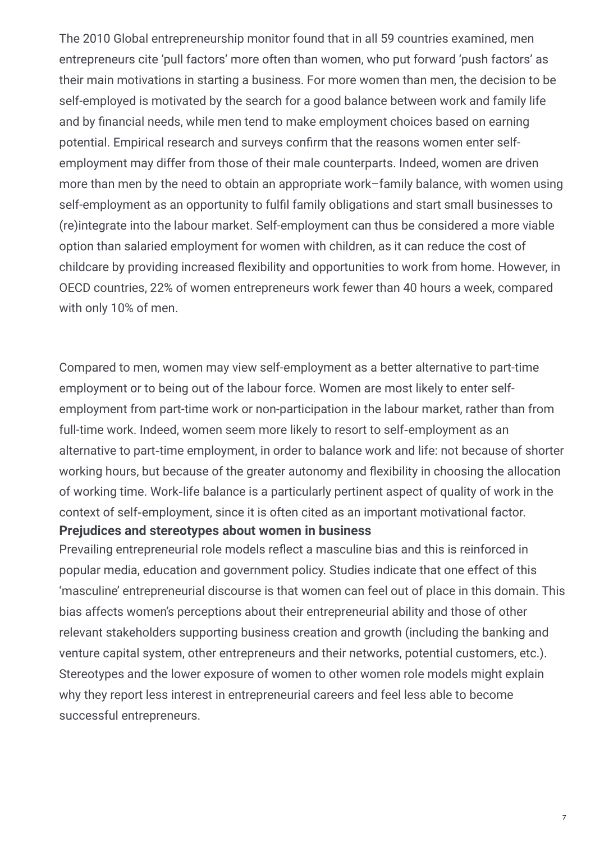The 2010 Global entrepreneurship monitor found that in all 59 countries examined, men entrepreneurs cite 'pull factors' more often than women, who put forward 'push factors' as their main motivations in starting a business. For more women than men, the decision to be self-employed is motivated by the search for a good balance between work and family life and by financial needs, while men tend to make employment choices based on earning potential. Empirical research and surveys confirm that the reasons women enter selfemployment may differ from those of their male counterparts. Indeed, women are driven more than men by the need to obtain an appropriate work–family balance, with women using self-employment as an opportunity to fulfil family obligations and start small businesses to (re)integrate into the labour market. Self-employment can thus be considered a more viable option than salaried employment for women with children, as it can reduce the cost of childcare by providing increased flexibility and opportunities to work from home. However, in OECD countries, 22% of women entrepreneurs work fewer than 40 hours a week, compared with only 10% of men.

Compared to men, women may view self-employment as a better alternative to part-time employment or to being out of the labour force. Women are most likely to enter selfemployment from part-time work or non-participation in the labour market, rather than from full-time work. Indeed, women seem more likely to resort to self-employment as an alternative to part-time employment, in order to balance work and life: not because of shorter working hours, but because of the greater autonomy and flexibility in choosing the allocation of working time. Work‑life balance is a particularly pertinent aspect of quality of work in the context of self‑employment, since it is often cited as an important motivational factor.

#### **Prejudices and stereotypes about women in business**

Prevailing entrepreneurial role models reflect a masculine bias and this is reinforced in popular media, education and government policy. Studies indicate that one effect of this 'masculine' entrepreneurial discourse is that women can feel out of place in this domain. This bias affects women's perceptions about their entrepreneurial ability and those of other relevant stakeholders supporting business creation and growth (including the banking and venture capital system, other entrepreneurs and their networks, potential customers, etc.). Stereotypes and the lower exposure of women to other women role models might explain why they report less interest in entrepreneurial careers and feel less able to become successful entrepreneurs.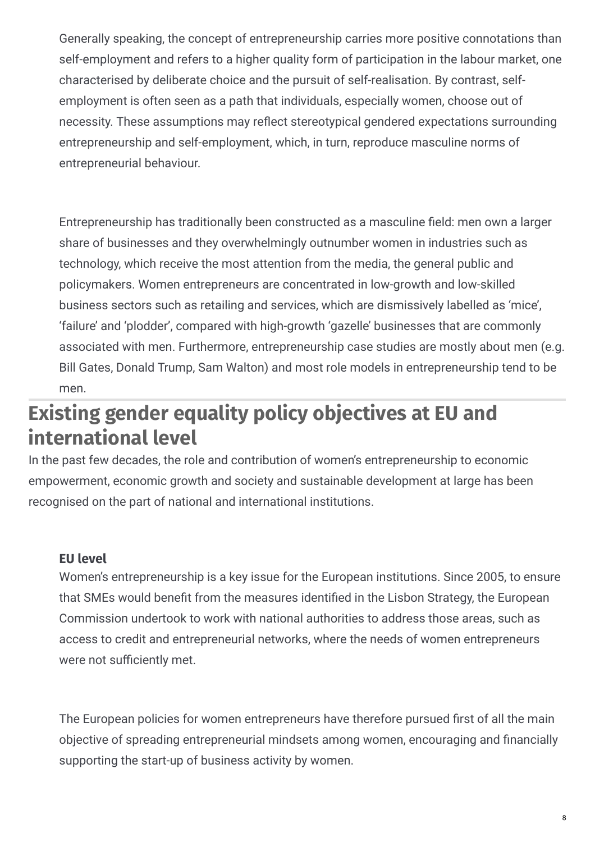Generally speaking, the concept of entrepreneurship carries more positive connotations than self-employment and refers to a higher quality form of participation in the labour market, one characterised by deliberate choice and the pursuit of self-realisation. By contrast, selfemployment is often seen as a path that individuals, especially women, choose out of necessity. These assumptions may reflect stereotypical gendered expectations surrounding entrepreneurship and self-employment, which, in turn, reproduce masculine norms of entrepreneurial behaviour.

Entrepreneurship has traditionally been constructed as a masculine field: men own a larger share of businesses and they overwhelmingly outnumber women in industries such as technology, which receive the most attention from the media, the general public and policymakers. Women entrepreneurs are concentrated in low-growth and low-skilled business sectors such as retailing and services, which are dismissively labelled as 'mice', 'failure' and 'plodder', compared with high-growth 'gazelle' businesses that are commonly associated with men. Furthermore, entrepreneurship case studies are mostly about men (e.g. Bill Gates, Donald Trump, Sam Walton) and most role models in entrepreneurship tend to be men.

# **Existing gender equality policy objectives at EU and international level**

In the past few decades, the role and contribution of women's entrepreneurship to economic empowerment, economic growth and society and sustainable development at large has been recognised on the part of national and international institutions.

#### **EU level**

Women's entrepreneurship is a key issue for the European institutions. Since 2005, to ensure that SMEs would benefit from the measures identified in the Lisbon Strategy, the European Commission undertook to work with national authorities to address those areas, such as access to credit and entrepreneurial networks, where the needs of women entrepreneurs were not sufficiently met.

The European policies for women entrepreneurs have therefore pursued first of all the main objective of spreading entrepreneurial mindsets among women, encouraging and financially supporting the start-up of business activity by women.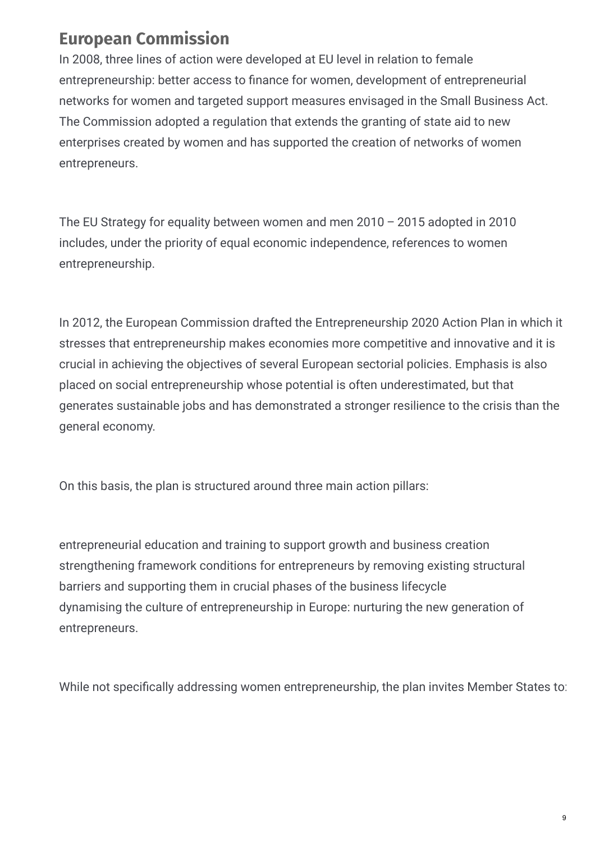## **European Commission**

In 2008, three lines of action were developed at EU level in relation to female entrepreneurship: better access to finance for women, development of entrepreneurial networks for women and targeted support measures envisaged in the Small Business Act. The Commission adopted a regulation that extends the granting of state aid to new enterprises created by women and has supported the creation of networks of women entrepreneurs.

The EU Strategy for equality between women and men 2010 – 2015 adopted in 2010 includes, under the priority of equal economic independence, references to women entrepreneurship.

In 2012, the European Commission drafted the Entrepreneurship 2020 Action Plan in which it stresses that entrepreneurship makes economies more competitive and innovative and it is crucial in achieving the objectives of several European sectorial policies. Emphasis is also placed on social entrepreneurship whose potential is often underestimated, but that generates sustainable jobs and has demonstrated a stronger resilience to the crisis than the general economy.

On this basis, the plan is structured around three main action pillars:

entrepreneurial education and training to support growth and business creation strengthening framework conditions for entrepreneurs by removing existing structural barriers and supporting them in crucial phases of the business lifecycle dynamising the culture of entrepreneurship in Europe: nurturing the new generation of entrepreneurs.

While not specifically addressing women entrepreneurship, the plan invites Member States to: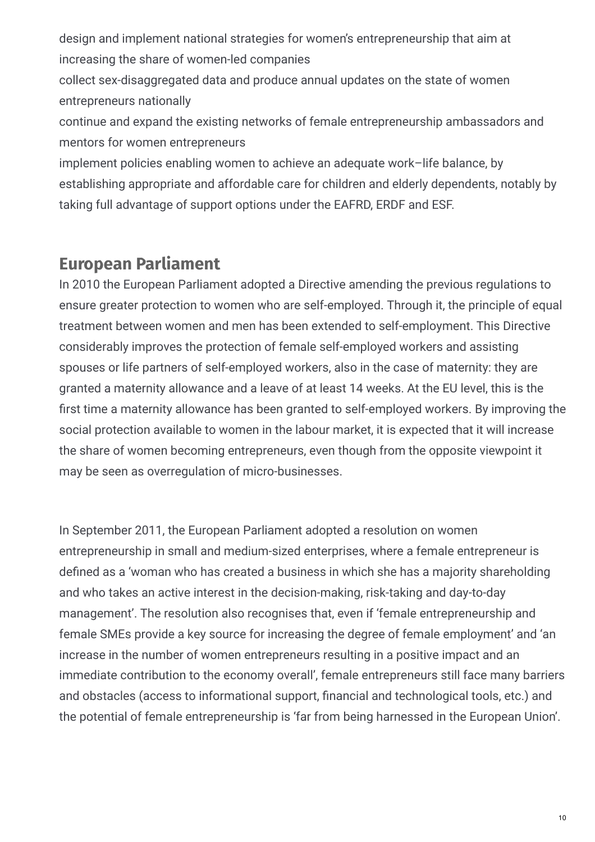design and implement national strategies for women's entrepreneurship that aim at increasing the share of women-led companies

collect sex-disaggregated data and produce annual updates on the state of women entrepreneurs nationally

continue and expand the existing networks of female entrepreneurship ambassadors and mentors for women entrepreneurs

implement policies enabling women to achieve an adequate work–life balance, by establishing appropriate and affordable care for children and elderly dependents, notably by taking full advantage of support options under the EAFRD, ERDF and ESF.

#### **European Parliament**

In 2010 the European Parliament adopted a Directive amending the previous regulations to ensure greater protection to women who are self-employed. Through it, the principle of equal treatment between women and men has been extended to self-employment. This Directive considerably improves the protection of female self-employed workers and assisting spouses or life partners of self-employed workers, also in the case of maternity: they are granted a maternity allowance and a leave of at least 14 weeks. At the EU level, this is the first time a maternity allowance has been granted to self-employed workers. By improving the social protection available to women in the labour market, it is expected that it will increase the share of women becoming entrepreneurs, even though from the opposite viewpoint it may be seen as overregulation of micro-businesses.

In September 2011, the European Parliament adopted a resolution on women entrepreneurship in small and medium-sized enterprises, where a female entrepreneur is defined as a 'woman who has created a business in which she has a majority shareholding and who takes an active interest in the decision-making, risk-taking and day-to-day management'. The resolution also recognises that, even if 'female entrepreneurship and female SMEs provide a key source for increasing the degree of female employment' and 'an increase in the number of women entrepreneurs resulting in a positive impact and an immediate contribution to the economy overall', female entrepreneurs still face many barriers and obstacles (access to informational support, financial and technological tools, etc.) and the potential of female entrepreneurship is 'far from being harnessed in the European Union'.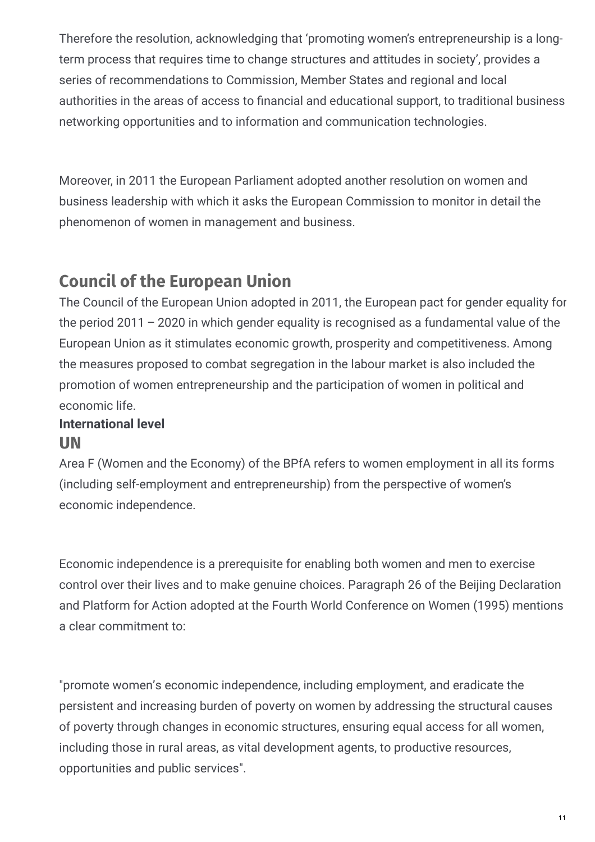Therefore the resolution, acknowledging that 'promoting women's entrepreneurship is a longterm process that requires time to change structures and attitudes in society', provides a series of recommendations to Commission, Member States and regional and local authorities in the areas of access to financial and educational support, to traditional business networking opportunities and to information and communication technologies.

Moreover, in 2011 the European Parliament adopted another resolution on women and business leadership with which it asks the European Commission to monitor in detail the phenomenon of women in management and business.

## **Council of the European Union**

The Council of the European Union adopted in 2011, the European pact for gender equality for the period 2011 – 2020 in which gender equality is recognised as a fundamental value of the European Union as it stimulates economic growth, prosperity and competitiveness. Among the measures proposed to combat segregation in the labour market is also included the promotion of women entrepreneurship and the participation of women in political and economic life.

#### **UN International level**

Area F (Women and the Economy) of the BPfA refers to women employment in all its forms (including self-employment and entrepreneurship) from the perspective of women's economic independence.

Economic independence is a prerequisite for enabling both women and men to exercise control over their lives and to make genuine choices. Paragraph 26 of the Beijing Declaration and Platform for Action adopted at the Fourth World Conference on Women (1995) mentions a clear commitment to:

"promote women's economic independence, including employment, and eradicate the persistent and increasing burden of poverty on women by addressing the structural causes of poverty through changes in economic structures, ensuring equal access for all women, including those in rural areas, as vital development agents, to productive resources, opportunities and public services".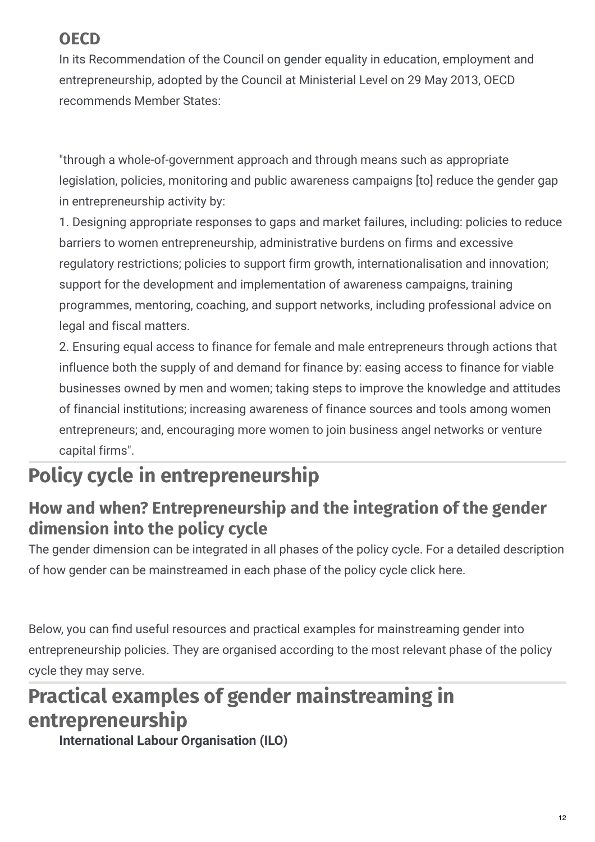# **OECD**

In its Recommendation of the Council on gender equality in education, employment and entrepreneurship, adopted by the Council at Ministerial Level on 29 May 2013, OECD recommends Member States:

"through a whole-of-government approach and through means such as appropriate legislation, policies, monitoring and public awareness campaigns [to] reduce the gender gap in entrepreneurship activity by:

1. Designing appropriate responses to gaps and market failures, including: policies to reduce barriers to women entrepreneurship, administrative burdens on firms and excessive regulatory restrictions; policies to support firm growth, internationalisation and innovation; support for the development and implementation of awareness campaigns, training programmes, mentoring, coaching, and support networks, including professional advice on legal and fiscal matters.

2. Ensuring equal access to finance for female and male entrepreneurs through actions that influence both the supply of and demand for finance by: easing access to finance for viable businesses owned by men and women; taking steps to improve the knowledge and attitudes of financial institutions; increasing awareness of finance sources and tools among women entrepreneurs; and, encouraging more women to join business angel networks or venture capital firms".

# **Policy cycle in entrepreneurship**

## **How and when? Entrepreneurship and the integration of the gender dimension into the policy cycle**

The gender dimension can be integrated in all phases of the policy cycle. For a detailed description of how gender can be mainstreamed in each phase of the policy cycle click here.

Below, you can find useful resources and practical examples for mainstreaming gender into entrepreneurship policies. They are organised according to the most relevant phase of the policy cycle they may serve.

# **Practical examples of gender mainstreaming in entrepreneurship**

**International Labour Organisation (ILO)**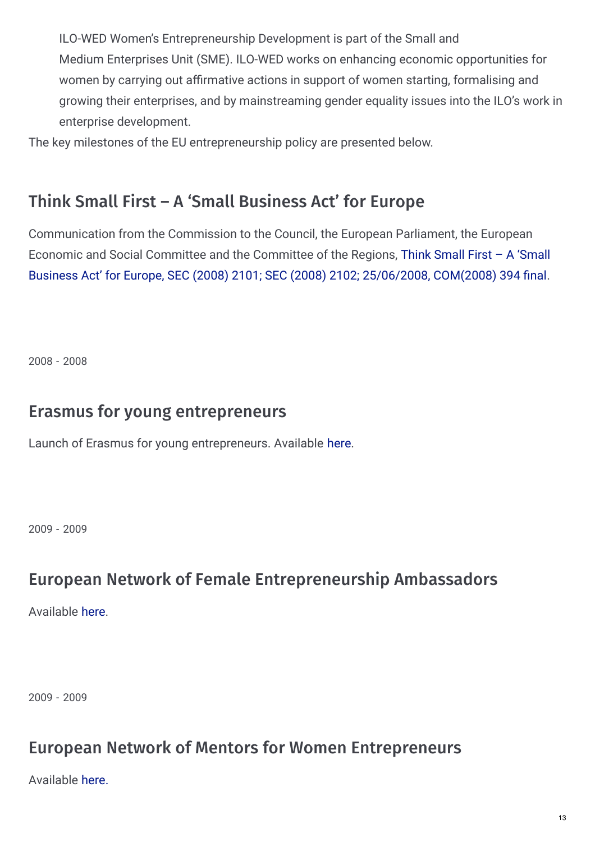ILO-WED Women's Entrepreneurship Development is part of the Small and Medium Enterprises Unit (SME). ILO-WED works on enhancing economic opportunities for women by carrying out affirmative actions in support of women starting, formalising and growing their enterprises, and by mainstreaming gender equality issues into the ILO's work in enterprise development.

The key milestones of the EU entrepreneurship policy are presented below.

## Think Small First – A 'Small Business Act' for Europe

Communication from the Commission to the Council, the European Parliament, the European Economic and Social Committee and the Committee of the Regions, Think Small First – A 'Small Business Act' for Europe, SEC (2008) 2101; SEC (2008) 2102; [25/06/2008,](http://eur-lex.europa.eu/LexUriServ/LexUriServ.do?uri=COM:2008:0394:FIN:EN:PDF) COM(2008) 394 final.

2008 - 2008

#### Erasmus for young entrepreneurs

Launch of Erasmus for young entrepreneurs. Available [here](http://www.erasmus-entrepreneurs.eu/).

2009 - 2009

#### European Network of Female Entrepreneurship Ambassadors

Available [here](http://ec.europa.eu/growth/smes/promoting-entrepreneurship/we-work-for/women/support-networks/index_en.htm).

2009 - 2009

#### European Network of Mentors for Women Entrepreneurs

Available [here.](http://ec.europa.eu/growth/smes/promoting-entrepreneurship/we-work-for/women/support-networks/index_en.htm)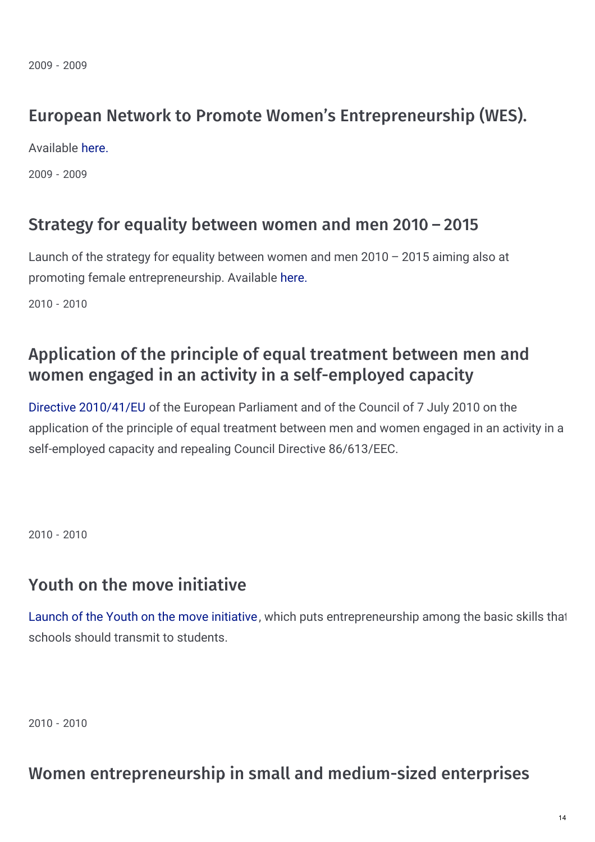### European Network to Promote Women's Entrepreneurship (WES).

Available [here.](http://ec.europa.eu/growth/smes/promoting-entrepreneurship/we-work-for/women/support-networks/index_en.htm)

2009 - 2009

#### Strategy for equality between women and men 2010 – 2015

Launch of the strategy for equality between women and men 2010 – 2015 aiming also at promoting female entrepreneurship. Available [here.](http://eur-lex.europa.eu/LexUriServ/LexUriServ.do?uri=COM:2010:0491:FIN:EN:PDF)

2010 - 2010

### Application of the principle of equal treatment between men and women engaged in an activity in a self-employed capacity

Directive [2010/41/EU](http://eur-lex.europa.eu/LexUriServ/LexUriServ.do?uri=OJ:L:2010:180:0001:0006:en:PDF) of the European Parliament and of the Council of 7 July 2010 on the application of the principle of equal treatment between men and women engaged in an activity in a self-employed capacity and repealing Council Directive 86/613/EEC.

2010 - 2010

#### Youth on the move initiative

Launch of the Youth on the move [initiative,](http://eur-lex.europa.eu/LexUriServ/LexUriServ.do?uri=COM:2010:2020:FIN:en:PDF) which puts entrepreneurship among the basic skills that schools should transmit to students.

2010 - 2010

#### Women entrepreneurship in small and medium-sized enterprises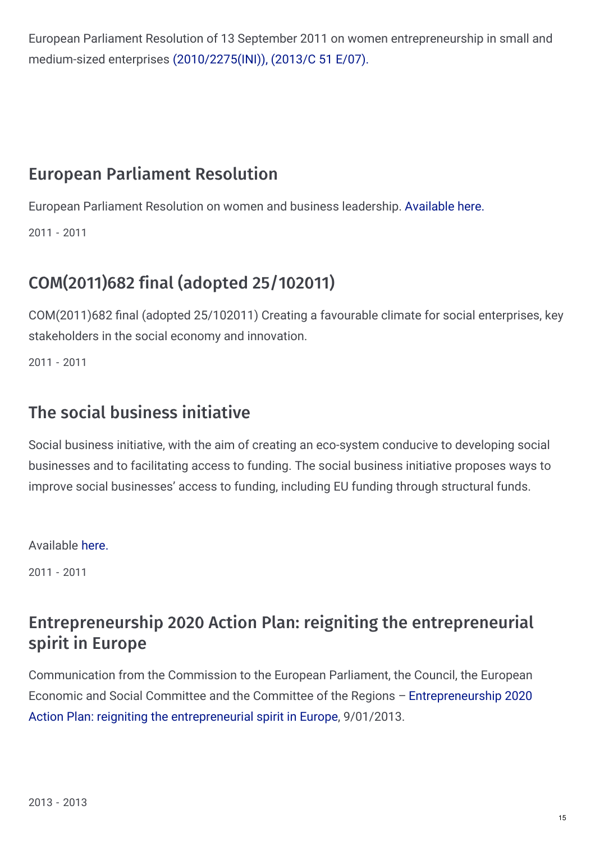European Parliament Resolution of 13 September 2011 on women entrepreneurship in small and medium-sized enterprises [\(2010/2275\(INI\)\),](http://www.europarl.europa.eu/sides/getDoc.do?pubRef=-//EP//TEXT+TA+P7-TA-2011-0367+0+DOC+XML+V0//EN) (2013/C 51 E/07).

### European Parliament Resolution

European Parliament Resolution on women and business leadership. [Available](http://www.europarl.europa.eu/sides/getDoc.do?pubRef=-//EP//TEXT+TA+P7-TA-2011-0330+0+DOC+XML+V0//EN) here.

2011 - 2011

# COM(2011)682 final (adopted 25/102011)

COM(2011)682 final (adopted 25/102011) Creating a favourable climate for social enterprises, key stakeholders in the social economy and innovation.

2011 - 2011

### The social business initiative

Social business initiative, with the aim of creating an eco-system conducive to developing social businesses and to facilitating access to funding. The social business initiative proposes ways to improve social businesses' access to funding, including EU funding through structural funds.

Available [here.](http://eur-lex.europa.eu/LexUriServ/LexUriServ.do?uri=COM:2011:0682:FIN:EN:PDF)

2011 - 2011

### Entrepreneurship 2020 Action Plan: reigniting the entrepreneurial spirit in Europe

Communication from the Commission to the European Parliament, the Council, the European Economic and Social Committee and the Committee of the Regions – [Entrepreneurship](http://eur-lex.europa.eu/LexUriServ/LexUriServ.do?uri=COM:2012:0795:FIN:EN:PDF) 2020 Action Plan: reigniting the entrepreneurial spirit in Europe, 9/01/2013.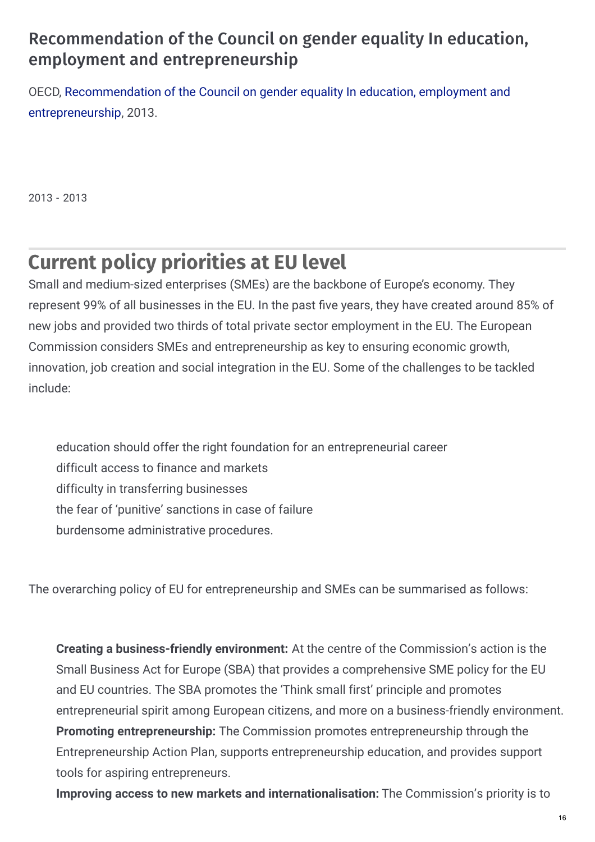### Recommendation of the Council on gender equality In education, employment and entrepreneurship

OECD, [Recommendation](http://www.oecd.org/gender/C-MIN(2013)5-ENG.pdf) of the Council on gender equality In education, employment and entrepreneurship, 2013.

2013 - 2013

# **Current policy priorities at EU level**

Small and medium-sized enterprises (SMEs) are the backbone of Europe's economy. They represent 99% of all businesses in the EU. In the past five years, they have created around 85% of new jobs and provided two thirds of total private sector employment in the EU. The European Commission considers SMEs and entrepreneurship as key to ensuring economic growth, innovation, job creation and social integration in the EU. Some of the challenges to be tackled include:

education should offer the right foundation for an entrepreneurial career difficult access to finance and markets difficulty in transferring businesses the fear of 'punitive' sanctions in case of failure burdensome administrative procedures.

The overarching policy of EU for entrepreneurship and SMEs can be summarised as follows:

**Creating a business-friendly environment:** At the centre of the Commission's action is the Small Business Act for Europe (SBA) that provides a comprehensive SME policy for the EU and EU countries. The SBA promotes the 'Think small first' principle and promotes entrepreneurial spirit among European citizens, and more on a business-friendly environment. **Promoting entrepreneurship:** The Commission promotes entrepreneurship through the Entrepreneurship Action Plan, supports entrepreneurship education, and provides support tools for aspiring entrepreneurs.

**Improving access to new markets and internationalisation:** The Commission's priority is to